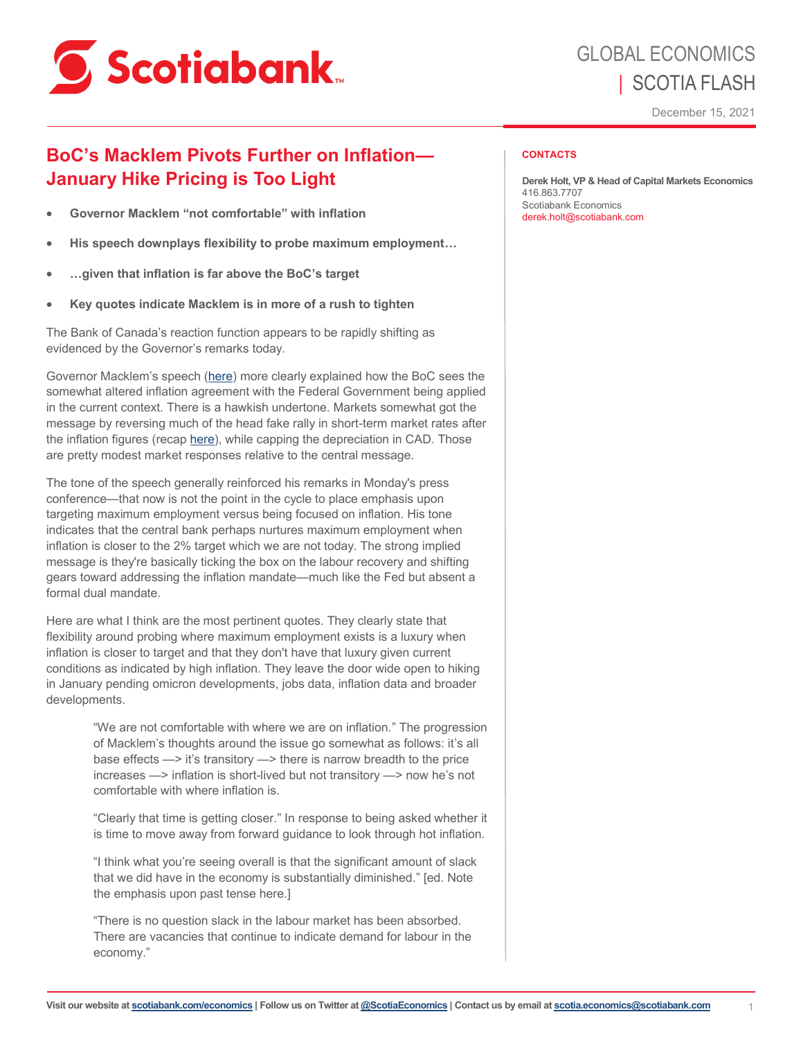

## GLOBAL ECONOMICS | SCOTIA FLASH

December 15, 2021

## **BoC's Macklem Pivots Further on Inflation— January Hike Pricing is Too Light**

- **Governor Macklem "not comfortable" with inflation**
- **His speech downplays flexibility to probe maximum employment…**
- **…given that inflation is far above the BoC's target**
- **Key quotes indicate Macklem is in more of a rush to tighten**

The Bank of Canada's reaction function appears to be rapidly shifting as evidenced by the Governor's remarks today.

Governor Macklem's speech ([here\)](https://www.bankofcanada.ca/2021/12/monetary-policy-framework-continuity-clarity-and-commitment/?#GAtop) more clearly explained how the BoC sees the somewhat altered inflation agreement with the Federal Government being applied in the current context. There is a hawkish undertone. Markets somewhat got the message by reversing much of the head fake rally in short-term market rates after the inflation figures (recap [here\),](https://www.scotiabank.com/content/dam/scotiabank/sub-brands/scotiabank-economics/english/documents/scotia-flash/scotiaflash20211215.pdf) while capping the depreciation in CAD. Those are pretty modest market responses relative to the central message.

The tone of the speech generally reinforced his remarks in Monday's press conference—that now is not the point in the cycle to place emphasis upon targeting maximum employment versus being focused on inflation. His tone indicates that the central bank perhaps nurtures maximum employment when inflation is closer to the 2% target which we are not today. The strong implied message is they're basically ticking the box on the labour recovery and shifting gears toward addressing the inflation mandate—much like the Fed but absent a formal dual mandate.

Here are what I think are the most pertinent quotes. They clearly state that flexibility around probing where maximum employment exists is a luxury when inflation is closer to target and that they don't have that luxury given current conditions as indicated by high inflation. They leave the door wide open to hiking in January pending omicron developments, jobs data, inflation data and broader developments.

> "We are not comfortable with where we are on inflation." The progression of Macklem's thoughts around the issue go somewhat as follows: it's all base effects —> it's transitory —> there is narrow breadth to the price increases —> inflation is short-lived but not transitory —> now he's not comfortable with where inflation is.

> "Clearly that time is getting closer." In response to being asked whether it is time to move away from forward guidance to look through hot inflation.

"I think what you're seeing overall is that the significant amount of slack that we did have in the economy is substantially diminished." [ed. Note the emphasis upon past tense here.]

"There is no question slack in the labour market has been absorbed. There are vacancies that continue to indicate demand for labour in the economy."

## **CONTACTS**

**Derek Holt, VP & Head of Capital Markets Economics**  416.863.7707 Scotiabank Economics derek.holt@scotiabank.com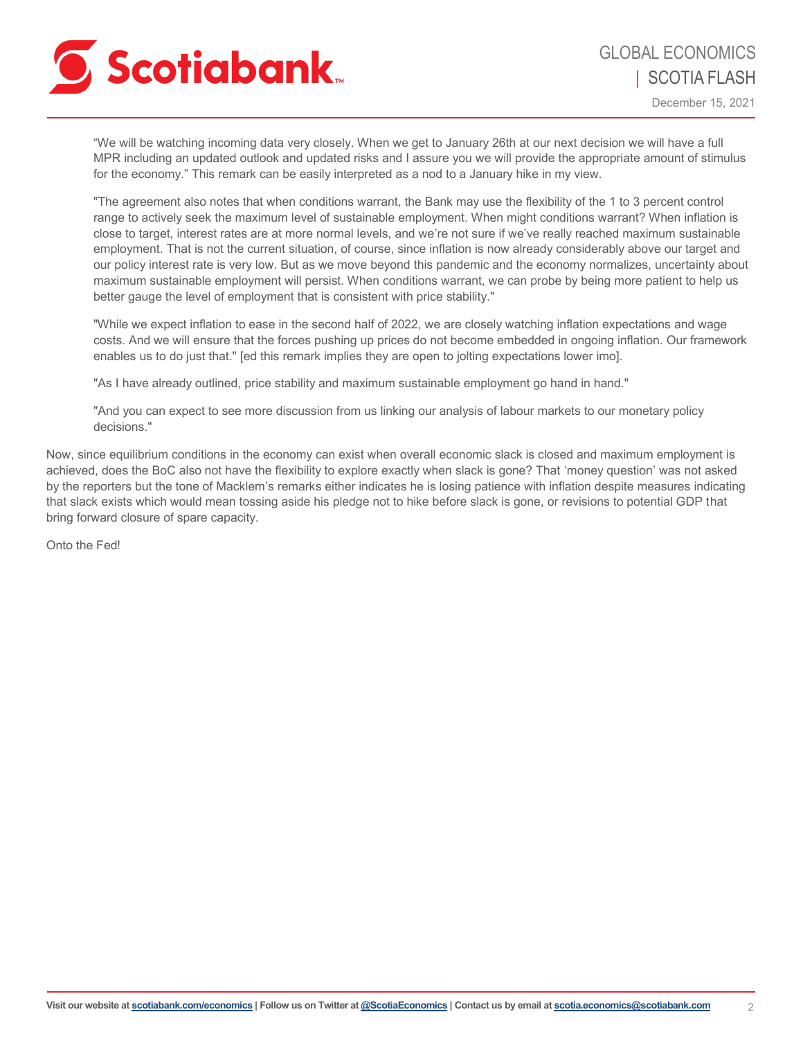

December 15, 2021

"We will be watching incoming data very closely. When we get to January 26th at our next decision we will have a full MPR including an updated outlook and updated risks and I assure you we will provide the appropriate amount of stimulus for the economy." This remark can be easily interpreted as a nod to a January hike in my view.

"The agreement also notes that when conditions warrant, the Bank may use the flexibility of the 1 to 3 percent control range to actively seek the maximum level of sustainable employment. When might conditions warrant? When inflation is close to target, interest rates are at more normal levels, and we're not sure if we've really reached maximum sustainable employment. That is not the current situation, of course, since inflation is now already considerably above our target and our policy interest rate is very low. But as we move beyond this pandemic and the economy normalizes, uncertainty about maximum sustainable employment will persist. When conditions warrant, we can probe by being more patient to help us better gauge the level of employment that is consistent with price stability."

"While we expect inflation to ease in the second half of 2022, we are closely watching inflation expectations and wage costs. And we will ensure that the forces pushing up prices do not become embedded in ongoing inflation. Our framework enables us to do just that." [ed this remark implies they are open to jolting expectations lower imo].

"As I have already outlined, price stability and maximum sustainable employment go hand in hand."

"And you can expect to see more discussion from us linking our analysis of labour markets to our monetary policy decisions."

Now, since equilibrium conditions in the economy can exist when overall economic slack is closed and maximum employment is achieved, does the BoC also not have the flexibility to explore exactly when slack is gone? That 'money question' was not asked by the reporters but the tone of Macklem's remarks either indicates he is losing patience with inflation despite measures indicating that slack exists which would mean tossing aside his pledge not to hike before slack is gone, or revisions to potential GDP that bring forward closure of spare capacity.

Onto the Fed!